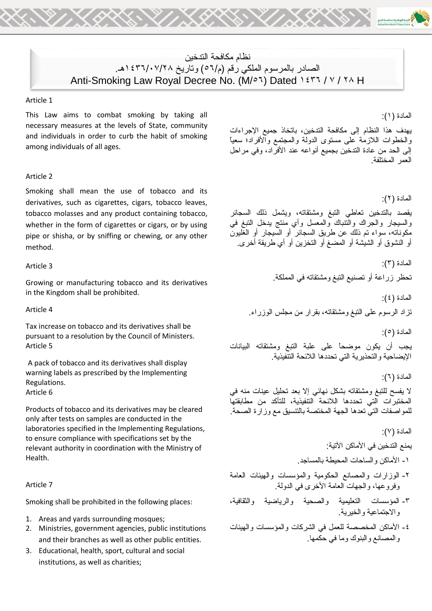# نظام مكافحة التدخين الصادر بالمرسوم الملكي رقم (م/٢٥) وتاريخ ١٤٣٦/٠٧/٢٨هـ. Anti-Smoking Law Royal Decree No. (M/ol) Dated 1277 / Y / YA H

#### Article 1

This Law aims to combat smoking by taking all necessary measures at the levels of State, community and individuals in order to curb the habit of smoking among individuals of all ages.

### Article 2

Smoking shall mean the use of tobacco and its derivatives, such as cigarettes, cigars, tobacco leaves, tobacco molasses and any product containing tobacco, whether in the form of cigarettes or cigars, or by using pipe or shisha, or by sniffing or chewing, or any other method.

## Article 3

Growing or manufacturing tobacco and its derivatives in the Kingdom shall be prohibited.

Article 4

Tax increase on tobacco and its derivatives shall be pursuant to a resolution by the Council of Ministers. Article 5

A pack of tobacco and its derivatives shall display warning labels as prescribed by the Implementing Regulations. Article 6

Products of tobacco and its derivatives may be cleared only after tests on samples are conducted in the laboratories specified in the Implementing Regulations, to ensure compliance with specifications set by the relevant authority in coordination with the Ministry of Health.

#### Article 7

Smoking shall be prohibited in the following places:

- 1. Areas and yards surrounding mosques;
- 2. Ministries, government agencies, public institutions and their branches as well as other public entities.
- 3. Educational, health, sport, cultural and social institutions, as well as charities;

المادة (١):

يهدف هذا النظام إلى مكافحة التدخين، باتخاذ جميع اإلجراءات والخطوات الالزمة على مستوى الدولة والمجتمع واألفراد؛ سعياً إلى الحد من عادة التدخين بجميع أنواعه عند األفراد، وفي مراحل العمر المختلفة.

المادة (٢):

يقصد بالتدخين تعاطي التبغ ومشتقاته، ويشمل ذلك السجائر .<br>والسيجار والجراك والتنباك والمعسل وأي منتج يدخل النبغ في مكوناته، سواء تم ذلك عن طريق السجائر أو السيجار أو الغليون أو النشوق أو الشيشة أو المضغ أو التخزين أو أي طريقة أخرى.

المادة (٢):

تحظر زراعة أو تصنيع التبغ ومشتقاته في المملكة.

المادة (٤):

تزاد الرسوم على التبغ ومشتقاته، بقرار من مجلس الوزراء.

المادة (٥):

يجب أن يكون موضحاً على علبة التبغ ومشتقاته البيانات اإليضاحية والتحذيرية التي تحددها الالئحة التنفيذية.

المادة (٦):

ال يفسح للتبغ ومشتقاته بشكل نهائي إال بعد تحليل عينات منه في المختبرات التي تحددها الالئحة التنفيذية، للتأكد من مطابقتها للمواصفات التي تعدها الجهة المختصة بالتنسيق مع وزارة الصحة.

المادة (٧):

يمنع التدخين في الأماكن الآتية:

-1 األماكن والساحات المحيطة بالمساجد.

- -2 الوزارات والمصانع الحكومية والمؤسسات والهيئات العامة وفروعها، والجهات العامة األخرى في الدولة.
- -3 المؤسسات التعليمية والصحية والرياضية والثقافية، واالجتماعية والخيرية.
- -4 األماكن المخصصة للعمل في الشركات والمؤسسات والهيئات والمصانع والبنوك وما في حكمها.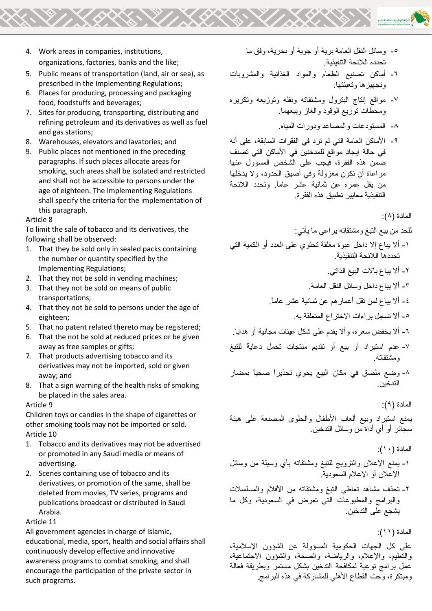- 4. Work areas in companies, institutions, organizations, factories, banks and the like;
- 5. Public means of transportation (land, air or sea), as prescribed in the Implementing Regulations;
- 6. Places for producing, processing and packaging food, foodstuffs and beverages;
- 7. Sites for producing, transporting, distributing and refining petroleum and its derivatives as well as fuel and gas stations;
- 8. Warehouses, elevators and lavatories; and
- 9. Public places not mentioned in the preceding paragraphs. If such places allocate areas for smoking, such areas shall be isolated and restricted and shall not be accessible to persons under the age of eighteen. The Implementing Regulations shall specify the criteria for the implementation of this paragraph.

## Article 8

To limit the sale of tobacco and its derivatives, the following shall be observed:

- 1. That they be sold only in sealed packs containing the number or quantity specified by the Implementing Regulations;
- 2. That they not be sold in vending machines;
- 3. That they not be sold on means of public transportations;
- 4. That they not be sold to persons under the age of eighteen;
- 5. That no patent related thereto may be registered;
- 6. That the not be sold at reduced prices or be given away as free samples or gifts;
- 7. That products advertising tobacco and its derivatives may not be imported, sold or given away; and
- 8. That a sign warning of the health risks of smoking be placed in the sales area.

## Article 9

Children toys or candies in the shape of cigarettes or other smoking tools may not be imported or sold. Article 10

- 1. Tobacco and its derivatives may not be advertised or promoted in any Saudi media or means of advertising.
- 2. Scenes containing use of tobacco and its derivatives, or promotion of the same, shall be deleted from movies, TV series, programs and publications broadcast or distributed in Saudi Arabia.

Article 11

All government agencies in charge of Islamic, educational, media, sport, health and social affairs shall continuously develop effective and innovative awareness programs to combat smoking, and shall encourage the participation of the private sector in such programs.

- -5 وسائل النقل العامة برية أو جوية أو بحرية، وفق ما تحدده الالئحة التنفيذية.
- -6 أماكن تصنيع الطعام والمواد الغذائية والمشروبات وتجهيزها وتعبئتها.
- -7 مواقع إنتاج البترول ومشتقاته ونقله وتوزيعه وتكريره ومحطات توزيع الوقود والغاز وبيعهما.
	- -8 المستودعات والمصاعد ودورات المياه.
- -9 األماكن العامة التي لم ترد في الفقرات السابقة، على أنه في حالة إيجاد مواقع للمدخنين في األماكن التي تصنف ضمن هذه الفقرة، فيجب على الشخص المسؤول عنها مراعاة أن تكون معزولة وفي أضيق الحدود، وال يدخلها من يقل عمره عن ثمانية عشر عاما.ً وتحدد الالئحة التنفيذية معايير تطبيق هذه الفقرة.

المادة (٨):

للحد من بيع التبغ ومشتقاته يراعى ما يأتي:

-1 أال يباع إال داخل عبوة مغلقة تحتوي على العدد أو الكمية التي تحددها الالئحة التنفيذية.

-2 أال يباع بآالت البيع الذاتي.

-3 أال يباع داخل وسائل النقل العامة.

-4 أال يباع لمن تقل أعمارهم عن ثمانية عشر عاما.ً

-5 أال تسجل براءات االختراع المتعلقة به.

- -6 أال يخفض سعره، وأال يقدم على شكل عينات مجانية أو هدايا.
- -7 عدم استيراد أو بيع أو تقديم منتجات تحمل دعايةً للتبغ ومشتقاته.
- -8 وضع ملصق في مكان البيع يحوي تحذيراً صحياً بمضار التدخين.

المادة )9(:

يمنع استيراد وبيع ألعاب األطفال والحلوى المصنعة على هيئة سجائر أو أي أداة من وسائل التدخين.

## المادة (١٠):

- -1 يمنع اإلعالن والترويج للتبغ ومشتقاته بأي وسيلة من وسائل اإلعالن أو اإلعالم السعودية.
- -2 تحذف مشاهد تعاطي التبغ ومشتقاته من األفالم والمسلسالت والبرامج والمطبوعات التي تعرض في السعودية، وكل ما يشجع على التدخين.

المادة (١١):

على كل الجهات الحكومية المسؤولة عن الشؤون اإلسالمية، والتعليم، واإلعالم، والرياضة، والصحة، والشؤون االجتماعية، عمل برامج توعية لمكافحة التدخين بشكل مستمر وبطريقة فعالة ومبتكر ة، وحث القطاع الأهلي للمشاركة في هذه البر امج.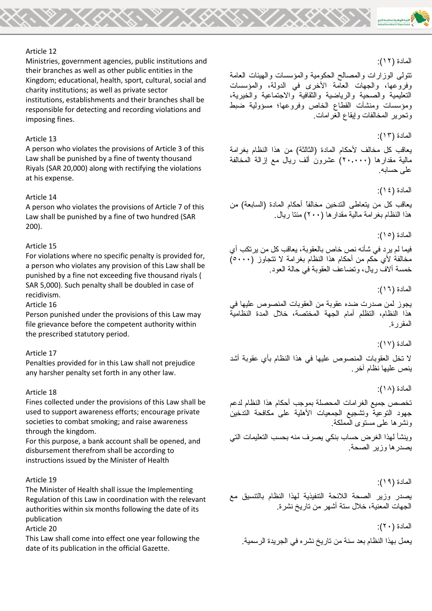## Article 12

Ministries, government agencies, public institutions and their branches as well as other public entities in the Kingdom; educational, health, sport, cultural, social and charity institutions; as well as private sector institutions, establishments and their branches shall be responsible for detecting and recording violations and imposing fines.

## Article 13

A person who violates the provisions of Article 3 of this Law shall be punished by a fine of twenty thousand Riyals (SAR 20,000) along with rectifying the violations at his expense.

## Article 14

A person who violates the provisions of Article 7 of this Law shall be punished by a fine of two hundred (SAR 200).

## Article 15

For violations where no specific penalty is provided for, a person who violates any provision of this Law shall be punished by a fine not exceeding five thousand riyals ( SAR 5,000). Such penalty shall be doubled in case of recidivism.

## Article 16

Person punished under the provisions of this Law may file grievance before the competent authority within the prescribed statutory period.

## Article 17

Penalties provided for in this Law shall not prejudice any harsher penalty set forth in any other law.

#### Article 18

Fines collected under the provisions of this Law shall be used to support awareness efforts; encourage private societies to combat smoking; and raise awareness through the kingdom.

For this purpose, a bank account shall be opened, and disbursement therefrom shall be according to instructions issued by the Minister of Health

## Article 19

The Minister of Health shall issue the Implementing Regulation of this Law in coordination with the relevant authorities within six months following the date of its publication

Article 20

This Law shall come into effect one year following the date of its publication in the official Gazette.

## المادة (١٢):

تتولى الوزارات والمصالح الحكومية والمؤسسات والهيئات العامة وفروعها، والجهات العامة األخرى في الدولة، والمؤسسات التعليمية والصحية والرياضية والثقافية واالجتماعية والخيرية، ومؤسسات ومنشآت القطاع الخاص وفروعها؛ مسؤولية ضبط وتحرير المخالفات وإيقاع الغرامات.

المادة (١٣):

يعاقب كل مخالف لأحكام المادة (الثالثة) من هذا النظام بغرامة مالية مقدارها )20.000( عشرون ألف ريال مع إزالة المخالفة على حسابه.

المادة (١٤):

يعاقب كل من يتعاطى التدخين مخالفاً أحكام المادة (السابعة) من هذا النظام بغرامة مالية مقدارها )200( مئتا ريال.

المادة (١٥):

فيما لم يرد في شأنه نص خاص بالعقوبة، يعاقب كل من يرتكب أي مخالفة لأي حكم من أحكام هذا النظام بغرامة لا تتجاوز (٥٠٠٠) خمسة أالف ريال، وتضاعف العقوبة في حالة العود.

المادة (١٦):

يجوز لمن صدرت ضده عقوبة من العقوبات المنصوص عليها في هذا النظام، التظلم أمام الجهة المختصة، خالل المدة النظامية المقررة.

المادة (١٧):

ال تخل العقوبات المنصوص عليها في هذا النظام بأي عقوبة أشد ينص عليها نظام آخر.

المادة (١٨):

تخصص جميع الغرامات المحصلة بموجب أحكام هذا النظام لدعم جهود التوعية وتشجيع الجمعيات األهلية على مكافحة التدخين ونشرها على مستوى المملكة.

وينشأ لهذا الغرض حساب بنكي يصرف منه بحسب التعليمات التي يصدرها وزير الصحة.

المادة )19(:

يصدر وزير الصحة الالئحة التنفيذية لهذا النظام بالتنسيق مع الجهات المعنية، خالل ستة أشهر من تاريخ نشرة.

المادة (٢٠):

يعمل بهذا النظام بعد سنة من تاريخ نشره في الجريدة الرسمية.